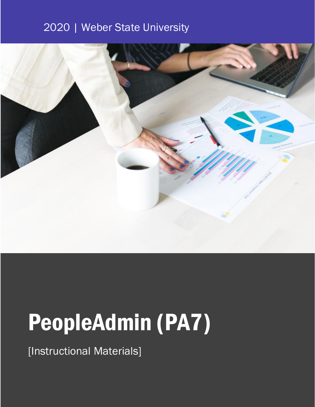# 2020 | Weber State University



# PeopleAdmin (PA7)

[Instructional Materials]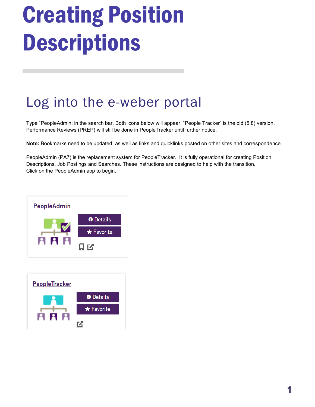# Creating Position **Descriptions**

# Log into the e-weber portal

Type "PeopleAdmin: in the search bar. Both icons below will appear. "People Tracker" is the old (5.8) version. Performance Reviews (PREP) will still be done in PeopleTracker until further notice.

**Note:** Bookmarks need to be updated, as well as links and quicklinks posted on other sites and correspondence.

PeopleAdmin (PA7) is the replacement system for PeopleTracker. It is fully operational for creating Position Descriptions, Job Postings and Searches. These instructions are designed to help with the transition. Click on the PeopleAdmin app to begin.



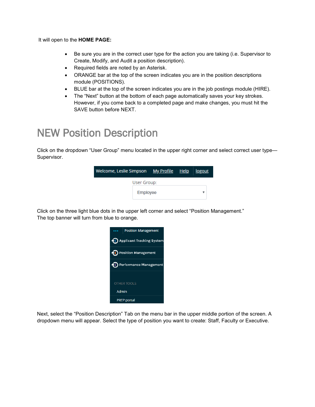It will open to the **HOME PAGE:**

- Be sure you are in the correct user type for the action you are taking (i.e. Supervisor to Create, Modify, and Audit a position description).
- Required fields are noted by an Asterisk.
- ORANGE bar at the top of the screen indicates you are in the position descriptions module (POSITIONS).
- BLUE bar at the top of the screen indicates you are in the job postings module (HIRE).
- The "Next" button at the bottom of each page automatically saves your key strokes. However, if you come back to a completed page and make changes, you must hit the SAVE button before NEXT.

### NEW Position Description

Click on the dropdown "User Group" menu located in the upper right corner and select correct user type— Supervisor.

| Welcome, Leslie Simpson My Profile Help Dgout |             |  |  |
|-----------------------------------------------|-------------|--|--|
|                                               | User Group: |  |  |
|                                               | Employee    |  |  |

Click on the three light blue dots in the upper left corner and select "Position Management." The top banner will turn from blue to orange.



Next, select the "Position Description" Tab on the menu bar in the upper middle portion of the screen. A dropdown menu will appear. Select the type of position you want to create: Staff, Faculty or Executive.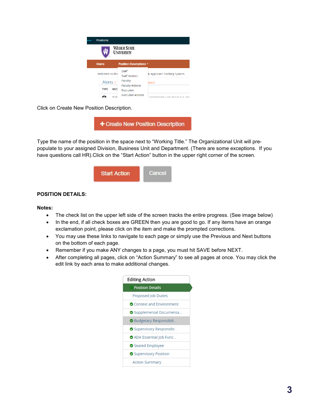

Click on Create New Position Description.

+ Create New Position Description

Type the name of the position in the space next to "Working Title." The Organizational Unit will prepopulate to your assigned Division, Business Unit and Department. (There are some exceptions. If you have questions call HR).Click on the "Start Action" button in the upper right corner of the screen.



#### **POSITION DETAILS:**

#### **Notes:**

- The check list on the upper left side of the screen tracks the entire progress. (See image below)
- In the end, if all check boxes are GREEN then you are good to go. If any items have an orange exclamation point, please click on the item and make the prompted corrections.
- You may use these links to navigate to each page or simply use the Previous and Next buttons on the bottom of each page.
- Remember if you make ANY changes to a page, you must hit SAVE before NEXT.
- After completing all pages, click on "Action Summary" to see all pages at once. You may click the edit link by each area to make additional changes.

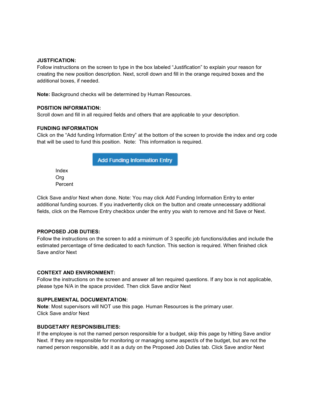#### **JUSTFICATION:**

Follow instructions on the screen to type in the box labeled "Justification" to explain your reason for creating the new position description. Next, scroll down and fill in the orange required boxes and the additional boxes, if needed.

**Note:** Background checks will be determined by Human Resources.

#### **POSITION INFORMATION:**

Scroll down and fill in all required fields and others that are applicable to your description.

#### **FUNDING INFORMATION**

Click on the "Add funding Information Entry" at the bottom of the screen to provide the index and org code that will be used to fund this position. Note: This information is required.

**Add Funding Information Entry** 

Index Org Percent

Click Save and/or Next when done. Note: You may click Add Funding Information Entry to enter additional funding sources. If you inadvertently click on the button and create unnecessary additional fields, click on the Remove Entry checkbox under the entry you wish to remove and hit Save or Next.

#### **PROPOSED JOB DUTIES:**

Follow the instructions on the screen to add a minimum of 3 specific job functions/duties and include the estimated percentage of time dedicated to each function. This section is required. When finished click Save and/or Next

#### **CONTEXT AND ENVIRONMENT:**

Follow the instructions on the screen and answer all ten required questions. If any box is not applicable, please type N/A in the space provided. Then click Save and/or Next

#### **SUPPLEMENTAL DOCUMENTATION:**

**Note**: Most supervisors will NOT use this page. Human Resources is the primary user. Click Save and/or Next

#### **BUDGETARY RESPONSIBILITIES:**

If the employee is not the named person responsible for a budget, skip this page by hitting Save and/or Next. If they are responsible for monitoring or managing some aspect/s of the budget, but are not the named person responsible, add it as a duty on the Proposed Job Duties tab. Click Save and/or Next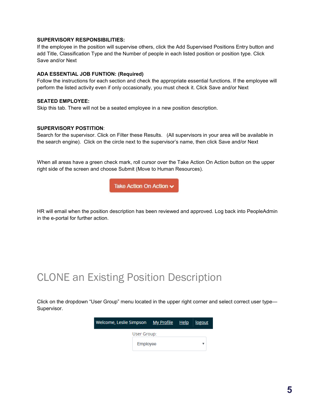#### **SUPERVISORY RESPONSIBILITIES:**

If the employee in the position will supervise others, click the Add Supervised Positions Entry button and add Title, Classification Type and the Number of people in each listed position or position type. Click Save and/or Next

#### **ADA ESSENTIAL JOB FUNTION: (Required)**

Follow the instructions for each section and check the appropriate essential functions. If the employee will perform the listed activity even if only occasionally, you must check it. Click Save and/or Next

#### **SEATED EMPLOYEE:**

Skip this tab. There will not be a seated employee in a new position description.

#### **SUPERVISORY POSTITION**:

Search for the supervisor. Click on Filter these Results. (All supervisors in your area will be available in the search engine). Click on the circle next to the supervisor's name, then click Save and/or Next

When all areas have a green check mark, roll cursor over the Take Action On Action button on the upper right side of the screen and choose Submit (Move to Human Resources).

Take Action On Action v

HR will email when the position description has been reviewed and approved. Log back into PeopleAdmin in the e-portal for further action.

## CLONE an Existing Position Description

Click on the dropdown "User Group" menu located in the upper right corner and select correct user type— Supervisor.

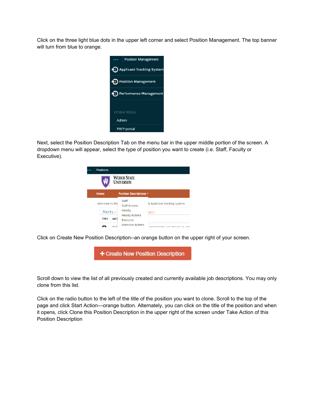Click on the three light blue dots in the upper left corner and select Position Management. The top banner will turn from blue to orange.



Next, select the Position Description Tab on the menu bar in the upper middle portion of the screen. A dropdown menu will appear, select the type of position you want to create (i.e. Staff, Faculty or Executive).

| <br><b>Positions</b> |                                            |                                 |
|----------------------|--------------------------------------------|---------------------------------|
|                      | <b>WEBER STATE</b><br><b>UNIVERSITY</b>    |                                 |
| Home                 | <b>Position Descriptions *</b>             |                                 |
| Welcome to the       | Staff<br><b>Staff Actions</b>              | & Applicant Tracking System.    |
| Alerts <sub>(1</sub> | Faculty                                    | 'ator)                          |
| TYPE<br><b>MES</b>   | <b>Faculty Actions</b><br><b>Executive</b> |                                 |
| $D \cap F$           | <b>Executive Actions</b>                   | annropriate ucer group (i.e. em |

Click on Create New Position Description--an orange button on the upper right of your screen.



Scroll down to view the list of all previously created and currently available job descriptions. You may only clone from this list.

Click on the radio button to the left of the title of the position you want to clone. Scroll to the top of the page and click Start Action—orange button. Alternately, you can click on the title of the position and when it opens, click Clone this Position Description in the upper right of the screen under Take Action of this Position Description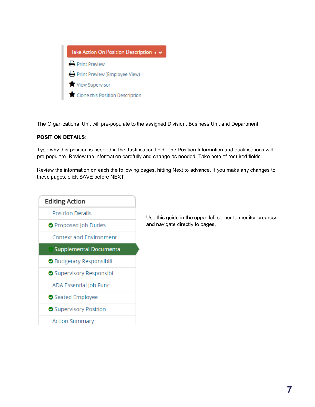

The Organizational Unit will pre-populate to the assigned Division, Business Unit and Department.

#### **POSITION DETAILS:**

Type why this position is needed in the Justification field. The Position Information and qualifications will pre-populate. Review the information carefully and change as needed. Take note of required fields.

Review the information on each the following pages, hitting Next to advance. If you make any changes to these pages, click SAVE before NEXT.



Use this guide in the upper left corner to monitor progress and navigate directly to pages.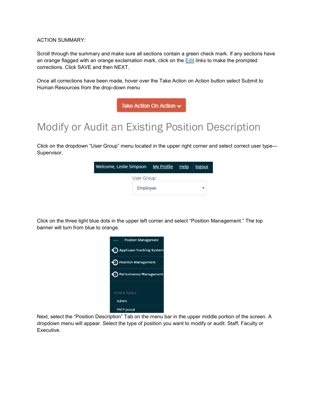#### ACTION SUMMARY:

Scroll through the summary and make sure all sections contain a green check mark. If any sections have an orange flagged with an orange exclamation mark, click on the Edit links to make the prompted corrections. Click SAVE and then NEXT.

Once all corrections have been made, hover over the Take Action on Action button select Submit to Human Resources from the drop-down menu

Take Action On Action v

## Modify or Audit an Existing Position Description

Click on the dropdown "User Group" menu located in the upper right corner and select correct user type— Supervisor.

| Welcome, Leslie Simpson My Profile Help |             |  | <u>logout</u> |
|-----------------------------------------|-------------|--|---------------|
|                                         | User Group: |  |               |
|                                         | Employee    |  |               |

Click on the three light blue dots in the upper left corner and select "Position Management." The top banner will turn from blue to orange.



Next, select the "Position Description" Tab on the menu bar in the upper middle portion of the screen. A dropdown menu will appear. Select the type of position you want to modify or audit: Staff, Faculty or Executive.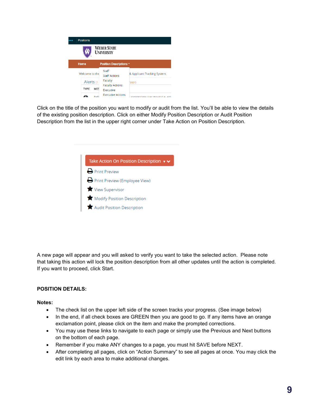| <br><b>Positions</b> |              |                                            |                                 |
|----------------------|--------------|--------------------------------------------|---------------------------------|
|                      |              | <b>WEBER STATE</b><br><b>UNIVERSITY</b>    |                                 |
| Home                 |              | Position Descriptions *                    |                                 |
| Welcome to the       |              | Staff<br><b>Staff Actions</b>              | & Applicant Tracking System.    |
| Alerts <sub>(1</sub> |              | Faculty                                    | 'ator)                          |
| <b>TYPE</b>          | <b>MES</b>   | <b>Faculty Actions</b><br><b>Executive</b> |                                 |
|                      | $D \wedge f$ | <b>Executive Actions</b>                   | annropriate ucer group (i.e. em |

Click on the title of the position you want to modify or audit from the list. You'll be able to view the details of the existing position description. Click on either Modify Position Description or Audit Position Description from the list in the upper right corner under Take Action on Position Description.

| Take Action On Position Description $\mathbf{v} \mathbf{v}$ |
|-------------------------------------------------------------|
| <b>D</b> Print Preview                                      |
| Print Preview (Employee View)                               |
| View Supervisor                                             |
| Modify Position Description                                 |
| Audit Position Description                                  |

A new page will appear and you will asked to verify you want to take the selected action. Please note that taking this action will lock the position description from all other updates until the action is completed. If you want to proceed, click Start.

#### **POSITION DETAILS:**

#### **Notes:**

- The check list on the upper left side of the screen tracks your progress. (See image below)
- In the end, if all check boxes are GREEN then you are good to go. If any items have an orange exclamation point, please click on the item and make the prompted corrections.
- You may use these links to navigate to each page or simply use the Previous and Next buttons on the bottom of each page.
- Remember if you make ANY changes to a page, you must hit SAVE before NEXT.
- After completing all pages, click on "Action Summary" to see all pages at once. You may click the edit link by each area to make additional changes.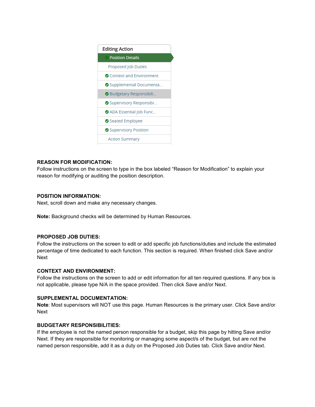

#### **REASON FOR MODIFICATION:**

Follow instructions on the screen to type in the box labeled "Reason for Modification" to explain your reason for modifying or auditing the position description.

#### **POSITION INFORMATION:**

Next, scroll down and make any necessary changes.

**Note:** Background checks will be determined by Human Resources.

#### **PROPOSED JOB DUTIES:**

Follow the instructions on the screen to edit or add specific job functions/duties and include the estimated percentage of time dedicated to each function. This section is required. When finished click Save and/or Next

#### **CONTEXT AND ENVIRONMENT:**

Follow the instructions on the screen to add or edit information for all ten required questions. If any box is not applicable, please type N/A in the space provided. Then click Save and/or Next.

#### **SUPPLEMENTAL DOCUMENTATION:**

**Note**: Most supervisors will NOT use this page. Human Resources is the primary user. Click Save and/or Next

#### **BUDGETARY RESPONSIBILITIES:**

If the employee is not the named person responsible for a budget, skip this page by hitting Save and/or Next. If they are responsible for monitoring or managing some aspect/s of the budget, but are not the named person responsible, add it as a duty on the Proposed Job Duties tab. Click Save and/or Next.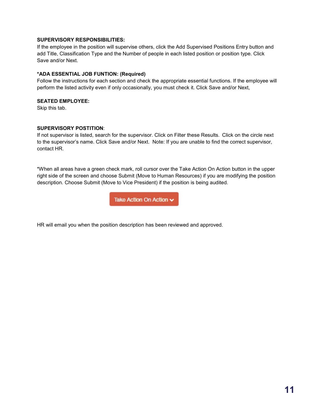#### **SUPERVISORY RESPONSIBILITIES:**

If the employee in the position will supervise others, click the Add Supervised Positions Entry button and add Title, Classification Type and the Number of people in each listed position or position type. Click Save and/or Next.

#### **\*ADA ESSENTIAL JOB FUNTION: (Required)**

Follow the instructions for each section and check the appropriate essential functions. If the employee will perform the listed activity even if only occasionally, you must check it. Click Save and/or Next,

#### **SEATED EMPLOYEE:**

Skip this tab.

#### **SUPERVISORY POSTITION**:

If not supervisor is listed, search for the supervisor. Click on Filter these Results. Click on the circle next to the supervisor's name. Click Save and/or Next. Note: If you are unable to find the correct supervisor, contact HR.

\*When all areas have a green check mark, roll cursor over the Take Action On Action button in the upper right side of the screen and choose Submit (Move to Human Resources) if you are modifying the position description. Choose Submit (Move to Vice President) if the position is being audited.

Take Action On Action v

HR will email you when the position description has been reviewed and approved.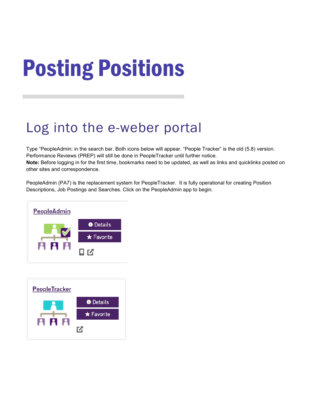# Posting Positions

# Log into the e-weber portal

Type "PeopleAdmin: in the search bar. Both icons below will appear. "People Tracker" is the old (5.8) version. Performance Reviews (PREP) will still be done in PeopleTracker until further notice. **Note:** Before logging in for the first time, bookmarks need to be updated, as well as links and quicklinks posted on other sites and correspondence.

PeopleAdmin (PA7) is the replacement system for PeopleTracker. It is fully operational for creating Position Descriptions, Job Postings and Searches. Click on the PeopleAdmin app to begin.



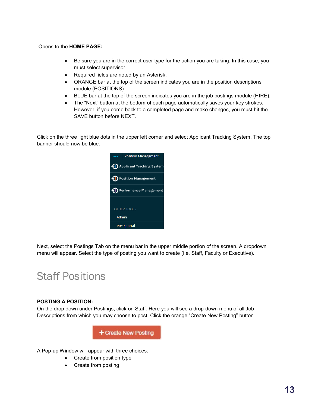Opens to the **HOME PAGE:**

- Be sure you are in the correct user type for the action you are taking. In this case, you must select supervisor.
- Required fields are noted by an Asterisk.
- ORANGE bar at the top of the screen indicates you are in the position descriptions module (POSITIONS).
- BLUE bar at the top of the screen indicates you are in the job postings module (HIRE).
- The "Next" button at the bottom of each page automatically saves your key strokes. However, if you come back to a completed page and make changes, you must hit the SAVE button before NEXT.

Click on the three light blue dots in the upper left corner and select Applicant Tracking System. The top banner should now be blue.



Next, select the Postings Tab on the menu bar in the upper middle portion of the screen. A dropdown menu will appear. Select the type of posting you want to create (i.e. Staff, Faculty or Executive).

## Staff Positions

#### **POSTING A POSITION:**

On the drop down under Postings, click on Staff. Here you will see a drop-down menu of all Job Descriptions from which you may choose to post. Click the orange "Create New Posting" button

+ Create New Posting

A Pop-up Window will appear with three choices:

- Create from position type
- Create from posting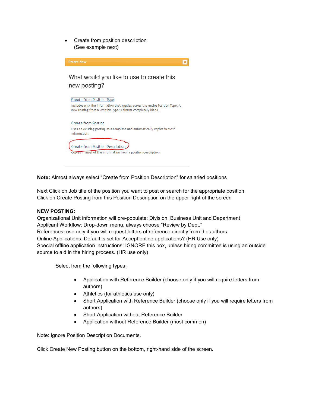• Create from position description (See example next)



**Note:** Almost always select "Create from Position Description" for salaried positions

Next Click on Job title of the position you want to post or search for the appropriate position. Click on Create Posting from this Position Description on the upper right of the screen

#### **NEW POSTING:**

Organizational Unit information will pre-populate: Division, Business Unit and Department Applicant Workflow: Drop-down menu, always choose "Review by Dept." References: use only if you will request letters of reference directly from the authors. Online Applications: Default is set for Accept online applications? (HR Use only) Special offline application instructions: IGNORE this box, unless hiring committee is using an outside source to aid in the hiring process. (HR use only)

Select from the following types:

- Application with Reference Builder (choose only if you will require letters from authors)
- Athletics (for athletics use only)
- Short Application with Reference Builder (choose only if you will require letters from authors)
- Short Application without Reference Builder
- Application without Reference Builder (most common)

Note: Ignore Position Description Documents.

Click Create New Posting button on the bottom, right-hand side of the screen.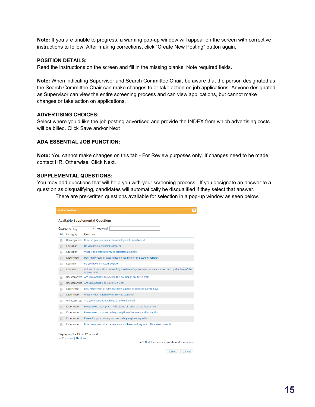**Note:** If you are unable to progress, a warning pop-up window will appear on the screen with corrective instructions to follow. After making corrections, click "Create New Posting" button again.

#### **POSITION DETAILS:**

Read the instructions on the screen and fill in the missing blanks. Note required fields.

**Note:** When indicating Supervisor and Search Committee Chair, be aware that the person designated as the Search Committee Chair can make changes to or take action on job applications. Anyone designated as Supervisor can view the entire screening process and can view applications, but cannot make changes or take action on applications.

#### **ADVERTISING CHOICES:**

Select where you'd like the job posting advertised and provide the INDEX from which advertising costs will be billed. Click Save and/or Next

#### **ADA ESSENTIAL JOB FUNCTION:**

**Note:** You cannot make changes on this tab - For Review purposes only. If changes need to be made, contact HR. Otherwise, Click Next.

#### **SUPPLEMENTAL QUESTIONS:**

You may add questions that will help you with your screening process. If you designate an answer to a question as disqualifying, candidates will automatically be disqualified if they select that answer.

There are pre-written questions available for selection in a pop-up window as seen below.

| <b>Add a Question</b>                                   |                                                                                                                |
|---------------------------------------------------------|----------------------------------------------------------------------------------------------------------------|
|                                                         | <b>Available Supplemental Questions</b>                                                                        |
| Category: Any                                           | Kevword:<br>v                                                                                                  |
| Add Category                                            | Ouestion                                                                                                       |
| ⋒                                                       | Uncategorized How did you hear about this employment opportunity?                                              |
| <b>Education</b><br>∩                                   | Do you have a bachelor's degree?                                                                               |
| Education<br>∩                                          | What is the highest level of education attained?                                                               |
| Experience<br>∩                                         | How many years of experience do you have in this type of position?                                             |
| <b>Education</b><br>∩                                   | Do you have a masters degree?                                                                                  |
| <b>Education</b><br>□                                   | Will you have a Ph.D. in hand by the date of appointment or an advanced ABD by the date of the<br>appointment? |
| ∩                                                       | Uncategorized Are you available to work in the evening (6 pm to 10 pm)?                                        |
| $\Box$                                                  | Uncategorized Are you available to work weekends?                                                              |
| Experience<br>∩                                         | How many years of Administrative support experience do you have?                                               |
| Experience<br>$\Box$                                    | What is your Philosophy for serving students?                                                                  |
| ∩                                                       | Uncategorized Are you a current employee of the university?                                                    |
| Experience<br>⊓                                         | Please select your primary discipline of research and instruction.                                             |
| Experience<br>∩                                         | Please select your secondary discipline of research and instruction.                                           |
| Experience                                              | Please list your primary and secondary engineering skills.                                                     |
| Experience                                              | How many years of experience do you have working in an office environment?                                     |
| Displaying 1 - 15 of 37 in total<br>← Previous   Next → | Can't find the one you want? Add a new one                                                                     |
|                                                         |                                                                                                                |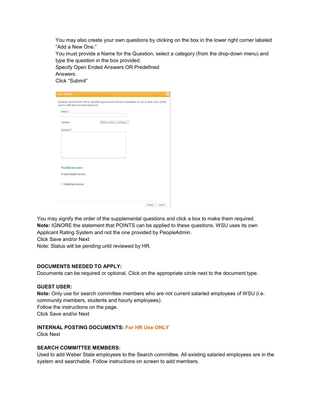You may also create your own questions by clicking on the box in the lower right corner labeled "Add a New One."

You must provide a Name for the Question, select a category (from the drop-down menu) and type the question in the box provided.

Specify Open Ended Answers OR Predefined Answers. Click "Submit"

| Name $\stackrel{*}{\ldots}$ |                            |
|-----------------------------|----------------------------|
| Category                    | Please select a category * |
| Question *                  |                            |
|                             |                            |
|                             |                            |
|                             |                            |
|                             |                            |
| <b>Possible Answers</b>     |                            |
| © Open Ended Answers        |                            |
| <b>Predefined Answers</b>   |                            |
|                             |                            |

You may signify the order of the supplemental questions and click a box to make them required. **Note:** IGNORE the statement that POINTS can be applied to these questions. WSU uses its own Applicant Rating System and not the one provided by PeopleAdmin. Click Save and/or Next

Note: Status will be pending until reviewed by HR.

#### **DOCUMENTS NEEDED TO APPLY:**

Documents can be required or optional. Click on the appropriate circle next to the document type.

#### **GUEST USER:**

**Note:** Only use for search committee members who are not current salaried employees of WSU (i.e. community members, students and hourly employees). Follow the instructions on the page. Click Save and/or Next

#### **INTERNAL POSTING DOCUMENTS: For HR Use ONLY**

Click Next

#### **SEARCH COMMITTEE MEMBERS:**

Used to add Weber State employees to the Search committee. All existing salaried employees are in the system and searchable. Follow instructions on screen to add members.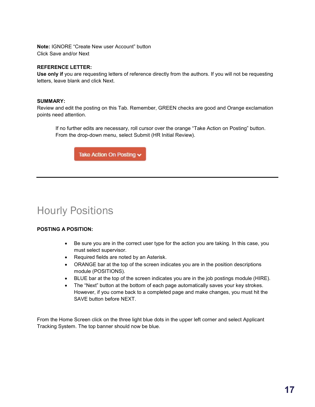**Note:** IGNORE "Create New user Account" button Click Save and/or Next

#### **REFERENCE LETTER:**

**Use only if** you are requesting letters of reference directly from the authors. If you will not be requesting letters, leave blank and click Next.

#### **SUMMARY:**

Review and edit the posting on this Tab. Remember, GREEN checks are good and Orange exclamation points need attention.

If no further edits are necessary, roll cursor over the orange "Take Action on Posting" button. From the drop-down menu, select Submit (HR Initial Review).



## Hourly Positions

#### **POSTING A POSITION:**

- Be sure you are in the correct user type for the action you are taking. In this case, you must select supervisor.
- Required fields are noted by an Asterisk.
- ORANGE bar at the top of the screen indicates you are in the position descriptions module (POSITIONS).
- BLUE bar at the top of the screen indicates you are in the job postings module (HIRE).
- The "Next" button at the bottom of each page automatically saves your key strokes. However, if you come back to a completed page and make changes, you must hit the SAVE button before NEXT.

From the Home Screen click on the three light blue dots in the upper left corner and select Applicant Tracking System. The top banner should now be blue.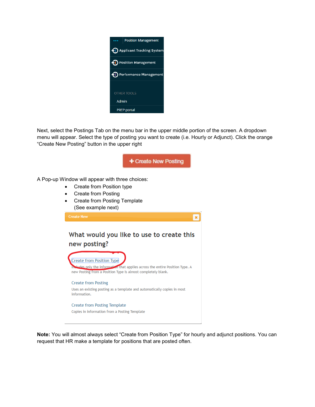

Next, select the Postings Tab on the menu bar in the upper middle portion of the screen. A dropdown menu will appear. Select the type of posting you want to create (i.e. Hourly or Adjunct). Click the orange "Create New Posting" button in the upper right



**Note:** You will almost always select "Create from Position Type" for hourly and adjunct positions. You can request that HR make a template for positions that are posted often.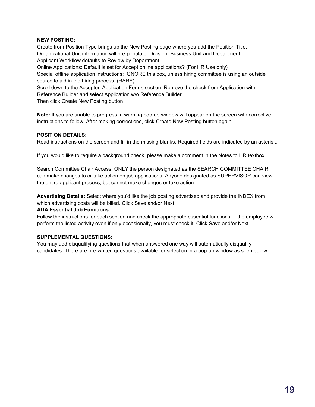#### **NEW POSTING:**

Create from Position Type brings up the New Posting page where you add the Position Title. Organizational Unit information will pre-populate: Division, Business Unit and Department Applicant Workflow defaults to Review by Department Online Applications: Default is set for Accept online applications? (For HR Use only) Special offline application instructions: IGNORE this box, unless hiring committee is using an outside source to aid in the hiring process. (RARE) Scroll down to the Accepted Application Forms section. Remove the check from Application with Reference Builder and select Application w/o Reference Builder.

Then click Create New Posting button

**Note:** If you are unable to progress, a warning pop-up window will appear on the screen with corrective instructions to follow. After making corrections, click Create New Posting button again.

#### **POSITION DETAILS:**

Read instructions on the screen and fill in the missing blanks. Required fields are indicated by an asterisk.

If you would like to require a background check, please make a comment in the Notes to HR textbox.

Search Committee Chair Access: ONLY the person designated as the SEARCH COMMITTEE CHAIR can make changes to or take action on job applications. Anyone designated as SUPERVISOR can view the entire applicant process, but cannot make changes or take action.

**Advertising Details:** Select where you'd like the job posting advertised and provide the INDEX from which advertising costs will be billed. Click Save and/or Next

#### **ADA Essential Job Functions:**

Follow the instructions for each section and check the appropriate essential functions. If the employee will perform the listed activity even if only occasionally, you must check it. Click Save and/or Next.

#### **SUPPLEMENTAL QUESTIONS:**

You may add disqualifying questions that when answered one way will automatically disqualify candidates. There are pre-written questions available for selection in a pop-up window as seen below.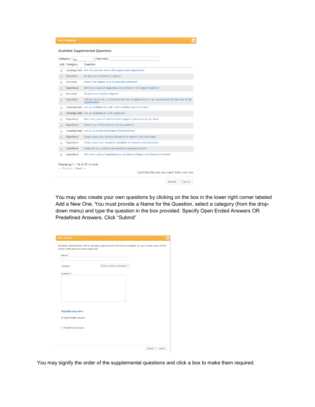|        | Category:<br>Any                                        | Keyword:                                                                                                       |  |
|--------|---------------------------------------------------------|----------------------------------------------------------------------------------------------------------------|--|
|        | Add Category                                            | <b>Question</b>                                                                                                |  |
| ⋒      | Uncategorized                                           | How did you hear about this employment opportunity?                                                            |  |
| $\Box$ | <b>Education</b>                                        | Do you have a bachelor's degree?                                                                               |  |
| ∩      | <b>Education</b>                                        | What is the highest level of education attained?                                                               |  |
| ▣      | Experience                                              | How many years of experience do you have in this type of position?                                             |  |
| ∩      | Education                                               | Do you have a masters degree?                                                                                  |  |
| $\Box$ | <b>Education</b>                                        | Will you have a Ph.D. in hand by the date of appointment or an advanced ABD by the date of the<br>appointment? |  |
| ⊓      |                                                         | Uncategorized Are you available to work in the evening (6 pm to 10 pm)?                                        |  |
| $\Box$ |                                                         | Uncategorized Are you available to work weekends?                                                              |  |
| ∩      | Experience                                              | How many years of Administrative support experience do you have?                                               |  |
| $\Box$ | Experience                                              | What is your Philosophy for serving students?                                                                  |  |
| ∩      |                                                         | Uncategorized Are you a current employee of the university?                                                    |  |
| m      | Experience                                              | Please select your primary discipline of research and instruction.                                             |  |
| ∩      | Experience                                              | Please select your secondary discipline of research and instruction.                                           |  |
| ⋒      | Experience                                              | Please list your primary and secondary engineering skills.                                                     |  |
| ∩      | Experience                                              | How many years of experience do you have working in an office environment?                                     |  |
|        | Displaying 1 - 15 of 37 in total<br>← Previous   Next → |                                                                                                                |  |

You may also create your own questions by clicking on the box in the lower right corner labeled Add a New One. You must provide a Name for the Question, select a category (from the dropdown menu) and type the question in the box provided. Specify Open Ended Answers OR Predefined Answers. Click "Submit"

| Name $\stackrel{*}{\ldots}$ |                            |
|-----------------------------|----------------------------|
| Category                    | Please select a category v |
| Question *                  |                            |
|                             |                            |
|                             |                            |
|                             |                            |
|                             |                            |
|                             |                            |
| <b>Possible Answers</b>     |                            |
| © Open Ended Answers        |                            |
|                             |                            |
|                             |                            |

You may signify the order of the supplemental questions and click a box to make them required.